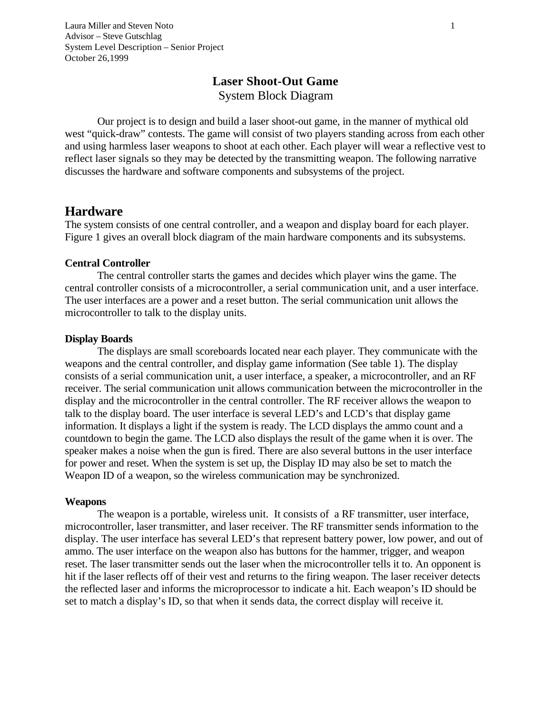Laura Miller and Steven Noto 1 Advisor – Steve Gutschlag System Level Description – Senior Project October 26,1999

# **Laser Shoot-Out Game** System Block Diagram

Our project is to design and build a laser shoot-out game, in the manner of mythical old west "quick-draw" contests. The game will consist of two players standing across from each other and using harmless laser weapons to shoot at each other. Each player will wear a reflective vest to reflect laser signals so they may be detected by the transmitting weapon. The following narrative discusses the hardware and software components and subsystems of the project.

## **Hardware**

The system consists of one central controller, and a weapon and display board for each player. Figure 1 gives an overall block diagram of the main hardware components and its subsystems.

#### **Central Controller**

The central controller starts the games and decides which player wins the game. The central controller consists of a microcontroller, a serial communication unit, and a user interface. The user interfaces are a power and a reset button. The serial communication unit allows the microcontroller to talk to the display units.

#### **Display Boards**

The displays are small scoreboards located near each player. They communicate with the weapons and the central controller, and display game information (See table 1). The display consists of a serial communication unit, a user interface, a speaker, a microcontroller, and an RF receiver. The serial communication unit allows communication between the microcontroller in the display and the microcontroller in the central controller. The RF receiver allows the weapon to talk to the display board. The user interface is several LED's and LCD's that display game information. It displays a light if the system is ready. The LCD displays the ammo count and a countdown to begin the game. The LCD also displays the result of the game when it is over. The speaker makes a noise when the gun is fired. There are also several buttons in the user interface for power and reset. When the system is set up, the Display ID may also be set to match the Weapon ID of a weapon, so the wireless communication may be synchronized.

#### **Weapons**

The weapon is a portable, wireless unit. It consists of a RF transmitter, user interface, microcontroller, laser transmitter, and laser receiver. The RF transmitter sends information to the display. The user interface has several LED's that represent battery power, low power, and out of ammo. The user interface on the weapon also has buttons for the hammer, trigger, and weapon reset. The laser transmitter sends out the laser when the microcontroller tells it to. An opponent is hit if the laser reflects off of their vest and returns to the firing weapon. The laser receiver detects the reflected laser and informs the microprocessor to indicate a hit. Each weapon's ID should be set to match a display's ID, so that when it sends data, the correct display will receive it.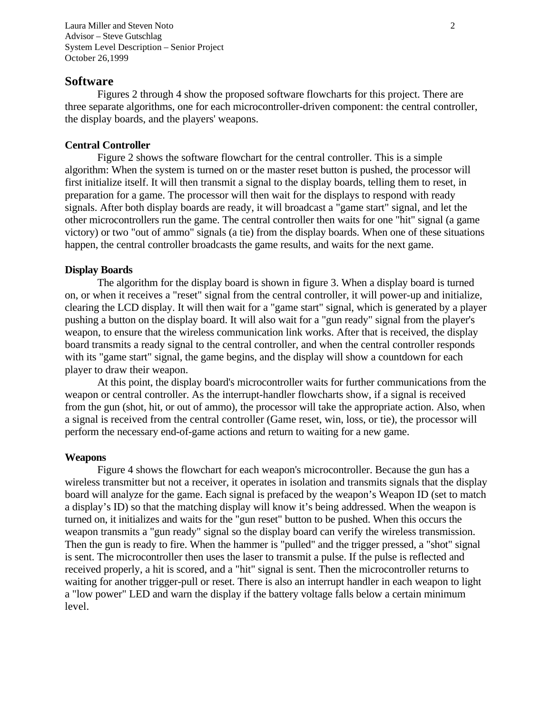Laura Miller and Steven Noto 2 Advisor – Steve Gutschlag System Level Description – Senior Project October 26,1999

### **Software**

Figures 2 through 4 show the proposed software flowcharts for this project. There are three separate algorithms, one for each microcontroller-driven component: the central controller, the display boards, and the players' weapons.

### **Central Controller**

Figure 2 shows the software flowchart for the central controller. This is a simple algorithm: When the system is turned on or the master reset button is pushed, the processor will first initialize itself. It will then transmit a signal to the display boards, telling them to reset, in preparation for a game. The processor will then wait for the displays to respond with ready signals. After both display boards are ready, it will broadcast a "game start" signal, and let the other microcontrollers run the game. The central controller then waits for one "hit" signal (a game victory) or two "out of ammo" signals (a tie) from the display boards. When one of these situations happen, the central controller broadcasts the game results, and waits for the next game.

### **Display Boards**

The algorithm for the display board is shown in figure 3. When a display board is turned on, or when it receives a "reset" signal from the central controller, it will power-up and initialize, clearing the LCD display. It will then wait for a "game start" signal, which is generated by a player pushing a button on the display board. It will also wait for a "gun ready" signal from the player's weapon, to ensure that the wireless communication link works. After that is received, the display board transmits a ready signal to the central controller, and when the central controller responds with its "game start" signal, the game begins, and the display will show a countdown for each player to draw their weapon.

At this point, the display board's microcontroller waits for further communications from the weapon or central controller. As the interrupt-handler flowcharts show, if a signal is received from the gun (shot, hit, or out of ammo), the processor will take the appropriate action. Also, when a signal is received from the central controller (Game reset, win, loss, or tie), the processor will perform the necessary end-of-game actions and return to waiting for a new game.

### **Weapons**

Figure 4 shows the flowchart for each weapon's microcontroller. Because the gun has a wireless transmitter but not a receiver, it operates in isolation and transmits signals that the display board will analyze for the game. Each signal is prefaced by the weapon's Weapon ID (set to match a display's ID) so that the matching display will know it's being addressed. When the weapon is turned on, it initializes and waits for the "gun reset" button to be pushed. When this occurs the weapon transmits a "gun ready" signal so the display board can verify the wireless transmission. Then the gun is ready to fire. When the hammer is "pulled" and the trigger pressed, a "shot" signal is sent. The microcontroller then uses the laser to transmit a pulse. If the pulse is reflected and received properly, a hit is scored, and a "hit" signal is sent. Then the microcontroller returns to waiting for another trigger-pull or reset. There is also an interrupt handler in each weapon to light a "low power" LED and warn the display if the battery voltage falls below a certain minimum level.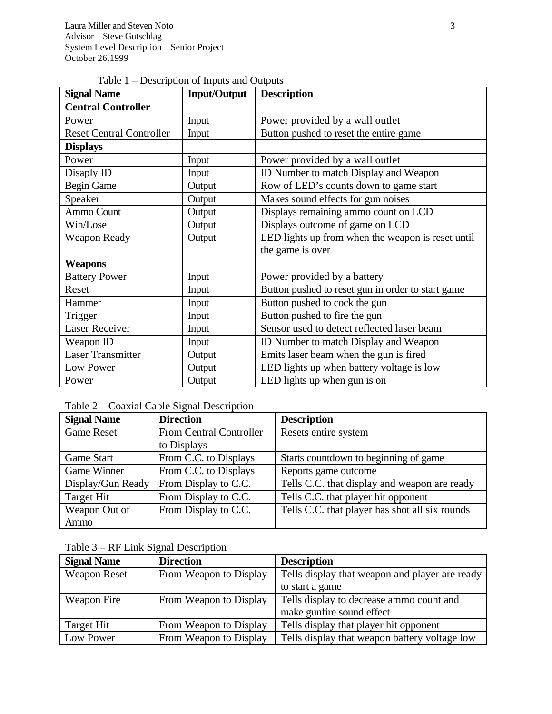|  |  | Table $1$ – Description of Inputs and Outputs |  |  |
|--|--|-----------------------------------------------|--|--|
|--|--|-----------------------------------------------|--|--|

| <b>Signal Name</b>              | <b>Input/Output</b> | <b>Description</b>                                |
|---------------------------------|---------------------|---------------------------------------------------|
| <b>Central Controller</b>       |                     |                                                   |
| Power                           | Input               | Power provided by a wall outlet                   |
| <b>Reset Central Controller</b> | Input               | Button pushed to reset the entire game            |
| <b>Displays</b>                 |                     |                                                   |
| Power                           | Input               | Power provided by a wall outlet                   |
| Disaply ID                      | Input               | ID Number to match Display and Weapon             |
| <b>Begin Game</b>               | Output              | Row of LED's counts down to game start            |
| Speaker                         | Output              | Makes sound effects for gun noises                |
| Ammo Count                      | Output              | Displays remaining ammo count on LCD              |
| Win/Lose                        | Output              | Displays outcome of game on LCD                   |
| <b>Weapon Ready</b>             | Output              | LED lights up from when the weapon is reset until |
|                                 |                     | the game is over                                  |
| <b>Weapons</b>                  |                     |                                                   |
| <b>Battery Power</b>            | Input               | Power provided by a battery                       |
| Reset                           | Input               | Button pushed to reset gun in order to start game |
| Hammer                          | Input               | Button pushed to cock the gun                     |
| Trigger                         | Input               | Button pushed to fire the gun                     |
| <b>Laser Receiver</b>           | Input               | Sensor used to detect reflected laser beam        |
| Weapon ID                       | Input               | ID Number to match Display and Weapon             |
| <b>Laser Transmitter</b>        | Output              | Emits laser beam when the gun is fired            |
| Low Power                       | Output              | LED lights up when battery voltage is low         |
| Power                           | Output              | LED lights up when gun is on                      |

# Table 2 – Coaxial Cable Signal Description

| <b>Signal Name</b> | <b>Direction</b>        | <b>Description</b>                             |
|--------------------|-------------------------|------------------------------------------------|
| <b>Game Reset</b>  | From Central Controller | Resets entire system                           |
|                    | to Displays             |                                                |
| Game Start         | From C.C. to Displays   | Starts countdown to beginning of game          |
| Game Winner        | From C.C. to Displays   | Reports game outcome                           |
| Display/Gun Ready  | From Display to C.C.    | Tells C.C. that display and weapon are ready   |
| Target Hit         | From Display to C.C.    | Tells C.C. that player hit opponent            |
| Weapon Out of      | From Display to C.C.    | Tells C.C. that player has shot all six rounds |
| Ammo               |                         |                                                |

Table 3 – RF Link Signal Description

| <b>Signal Name</b>  | <b>Direction</b>       | <b>Description</b>                             |
|---------------------|------------------------|------------------------------------------------|
| <b>Weapon Reset</b> | From Weapon to Display | Tells display that weapon and player are ready |
|                     |                        | to start a game                                |
| Weapon Fire         | From Weapon to Display | Tells display to decrease ammo count and       |
|                     |                        | make gunfire sound effect                      |
| Target Hit          | From Weapon to Display | Tells display that player hit opponent         |
| Low Power           | From Weapon to Display | Tells display that weapon battery voltage low  |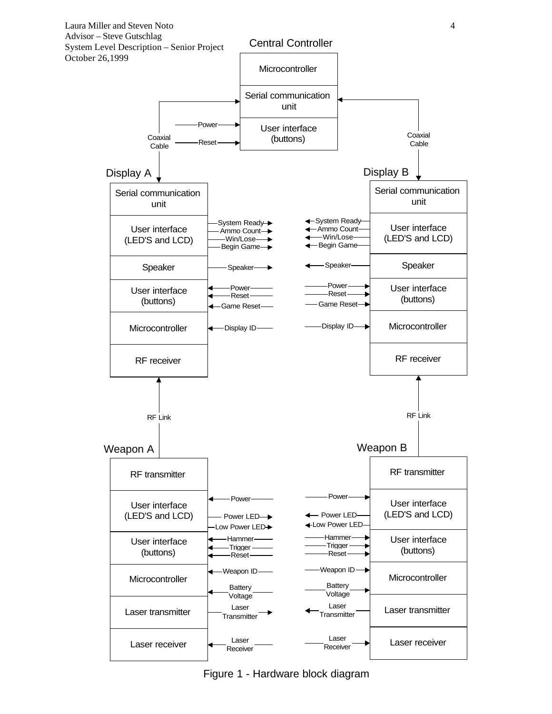

Figure 1 - Hardware block diagram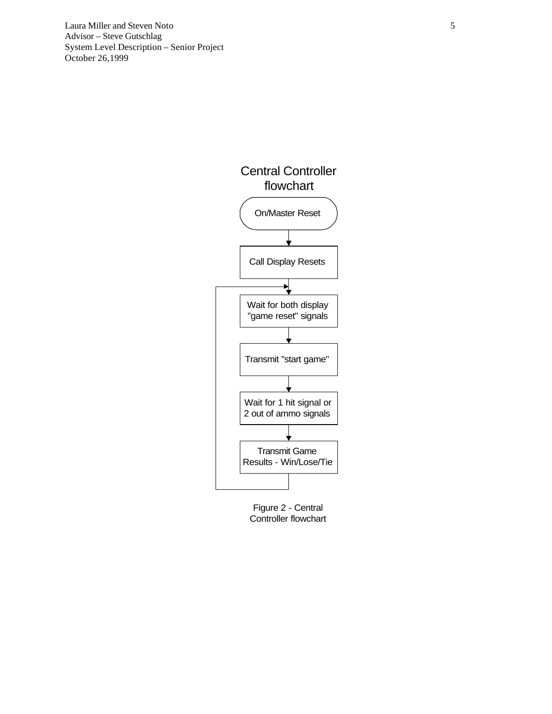Laura Miller and Steven Noto 5 Advisor – Steve Gutschlag System Level Description – Senior Project October 26,1999



Figure 2 - Central Controller flowchart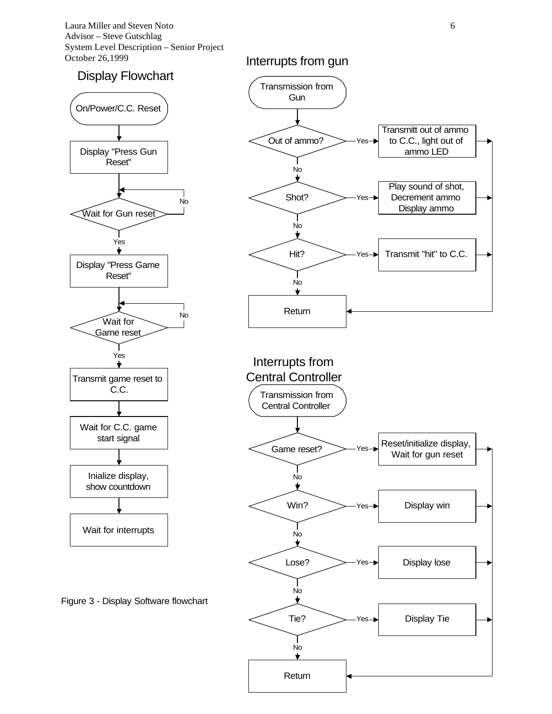Laura Miller and Steven Noto 6 Advisor – Steve Gutschlag System Level Description – Senior Project October 26,1999

## Display Flowchart



Figure 3 - Display Software flowchart

## Interrupts from gun